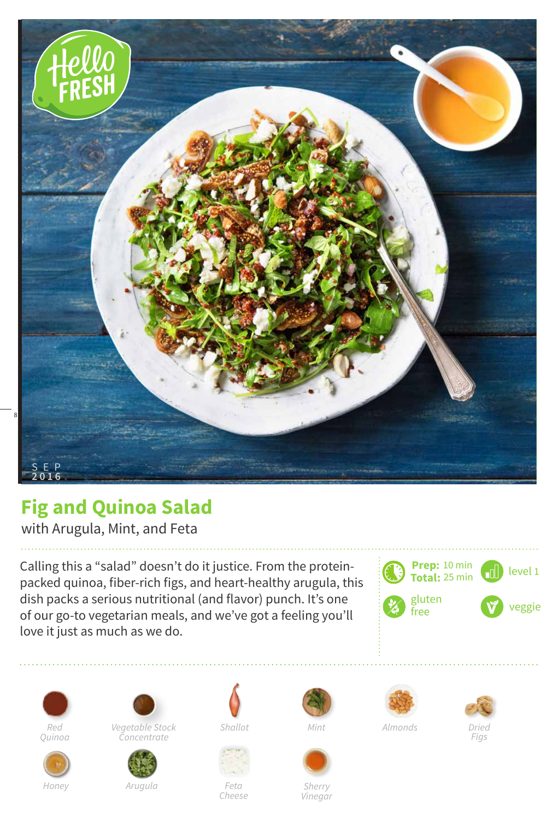

## **Fig and Quinoa Salad**

with Arugula, Mint, and Feta

Calling this a "salad" doesn't do it justice. From the proteinpacked quinoa, fiber-rich figs, and heart-healthy arugula, this dish packs a serious nutritional (and flavor) punch. It's one of our go-to vegetarian meals, and we've got a feeling you'll love it just as much as we do.







*Vegetable Stock Red Shallot Almonds Concentrate*



*Arugula Feta*





*Cheese*



*Sherry Vinegar*